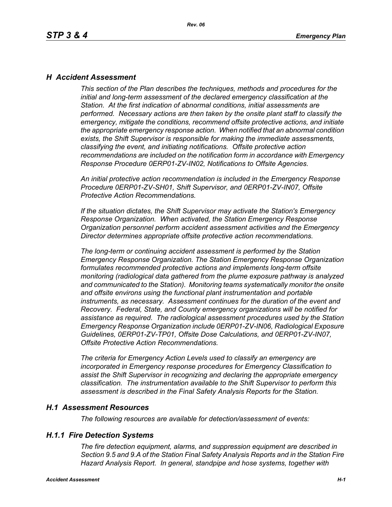### *H Accident Assessment*

*This section of the Plan describes the techniques, methods and procedures for the initial and long-term assessment of the declared emergency classification at the Station. At the first indication of abnormal conditions, initial assessments are performed. Necessary actions are then taken by the onsite plant staff to classify the emergency, mitigate the conditions, recommend offsite protective actions, and initiate the appropriate emergency response action. When notified that an abnormal condition exists, the Shift Supervisor is responsible for making the immediate assessments, classifying the event, and initiating notifications. Offsite protective action recommendations are included on the notification form in accordance with Emergency Response Procedure 0ERP01-ZV-IN02, Notifications to Offsite Agencies.*

*An initial protective action recommendation is included in the Emergency Response Procedure 0ERP01-ZV-SH01, Shift Supervisor, and 0ERP01-ZV-IN07, Offsite Protective Action Recommendations.*

*If the situation dictates, the Shift Supervisor may activate the Station's Emergency Response Organization. When activated, the Station Emergency Response Organization personnel perform accident assessment activities and the Emergency Director determines appropriate offsite protective action recommendations.*

*The long-term or continuing accident assessment is performed by the Station Emergency Response Organization. The Station Emergency Response Organization formulates recommended protective actions and implements long-term offsite monitoring (radiological data gathered from the plume exposure pathway is analyzed and communicated to the Station). Monitoring teams systematically monitor the onsite and offsite environs using the functional plant instrumentation and portable instruments, as necessary. Assessment continues for the duration of the event and Recovery. Federal, State, and County emergency organizations will be notified for assistance as required. The radiological assessment procedures used by the Station Emergency Response Organization include 0ERP01-ZV-IN06, Radiological Exposure Guidelines, 0ERP01-ZV-TP01, Offsite Dose Calculations, and 0ERP01-ZV-IN07, Offsite Protective Action Recommendations.*

*The criteria for Emergency Action Levels used to classify an emergency are incorporated in Emergency response procedures for Emergency Classification to assist the Shift Supervisor in recognizing and declaring the appropriate emergency classification. The instrumentation available to the Shift Supervisor to perform this assessment is described in the Final Safety Analysis Reports for the Station.*

### *H.1 Assessment Resources*

*The following resources are available for detection/assessment of events:*

## *H.1.1 Fire Detection Systems*

*The fire detection equipment, alarms, and suppression equipment are described in Section 9.5 and 9.A of the Station Final Safety Analysis Reports and in the Station Fire Hazard Analysis Report. In general, standpipe and hose systems, together with*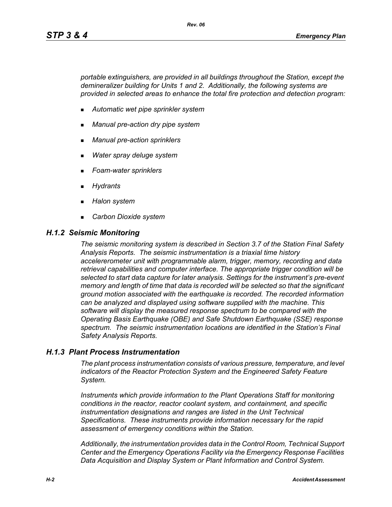*portable extinguishers, are provided in all buildings throughout the Station, except the demineralizer building for Units 1 and 2. Additionally, the following systems are provided in selected areas to enhance the total fire protection and detection program:*

- *Automatic wet pipe sprinkler system*
- *Manual pre-action dry pipe system*
- *Manual pre-action sprinklers*
- *Water spray deluge system*
- *Foam-water sprinklers*
- *Hydrants*
- *Halon system*
- *Carbon Dioxide system*

#### *H.1.2 Seismic Monitoring*

*The seismic monitoring system is described in Section 3.7 of the Station Final Safety Analysis Reports. The seismic instrumentation is a triaxial time history accelererometer unit with programmable alarm, trigger, memory, recording and data retrieval capabilities and computer interface. The appropriate trigger condition will be selected to start data capture for later analysis. Settings for the instrument's pre-event memory and length of time that data is recorded will be selected so that the significant ground motion associated with the earthquake is recorded. The recorded information can be analyzed and displayed using software supplied with the machine. This software will display the measured response spectrum to be compared with the Operating Basis Earthquake (OBE) and Safe Shutdown Earthquake (SSE) response spectrum. The seismic instrumentation locations are identified in the Station's Final Safety Analysis Reports.*

### *H.1.3 Plant Process Instrumentation*

*The plant process instrumentation consists of various pressure, temperature, and level indicators of the Reactor Protection System and the Engineered Safety Feature System.*

*Instruments which provide information to the Plant Operations Staff for monitoring conditions in the reactor, reactor coolant system, and containment, and specific instrumentation designations and ranges are listed in the Unit Technical Specifications. These instruments provide information necessary for the rapid assessment of emergency conditions within the Station.*

*Additionally, the instrumentation provides data in the Control Room, Technical Support Center and the Emergency Operations Facility via the Emergency Response Facilities Data Acquisition and Display System or Plant Information and Control System.*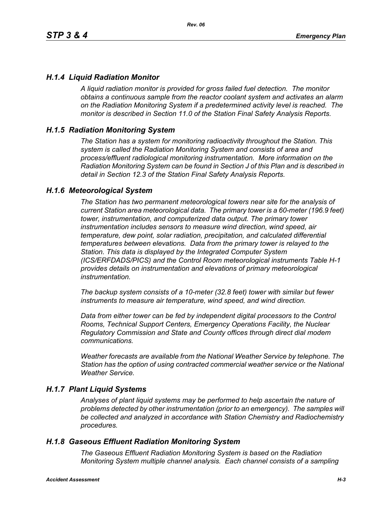## *H.1.4 Liquid Radiation Monitor*

*A liquid radiation monitor is provided for gross failed fuel detection. The monitor obtains a continuous sample from the reactor coolant system and activates an alarm on the Radiation Monitoring System if a predetermined activity level is reached. The monitor is described in Section 11.0 of the Station Final Safety Analysis Reports.*

### *H.1.5 Radiation Monitoring System*

*The Station has a system for monitoring radioactivity throughout the Station. This system is called the Radiation Monitoring System and consists of area and process/effluent radiological monitoring instrumentation. More information on the Radiation Monitoring System can be found in Section J of this Plan and is described in detail in Section 12.3 of the Station Final Safety Analysis Reports.*

### *H.1.6 Meteorological System*

*The Station has two permanent meteorological towers near site for the analysis of current Station area meteorological data. The primary tower is a 60-meter (196.9 feet) tower, instrumentation, and computerized data output. The primary tower instrumentation includes sensors to measure wind direction, wind speed, air temperature, dew point, solar radiation, precipitation, and calculated differential temperatures between elevations. Data from the primary tower is relayed to the Station. This data is displayed by the Integrated Computer System (ICS/ERFDADS/PICS) and the Control Room meteorological instruments Table H-1 provides details on instrumentation and elevations of primary meteorological instrumentation.*

*The backup system consists of a 10-meter (32.8 feet) tower with similar but fewer instruments to measure air temperature, wind speed, and wind direction.*

*Data from either tower can be fed by independent digital processors to the Control Rooms, Technical Support Centers, Emergency Operations Facility, the Nuclear Regulatory Commission and State and County offices through direct dial modem communications.* 

*Weather forecasts are available from the National Weather Service by telephone. The Station has the option of using contracted commercial weather service or the National Weather Service.*

### *H.1.7 Plant Liquid Systems*

*Analyses of plant liquid systems may be performed to help ascertain the nature of problems detected by other instrumentation (prior to an emergency). The samples will be collected and analyzed in accordance with Station Chemistry and Radiochemistry procedures.*

### *H.1.8 Gaseous Effluent Radiation Monitoring System*

*The Gaseous Effluent Radiation Monitoring System is based on the Radiation Monitoring System multiple channel analysis. Each channel consists of a sampling*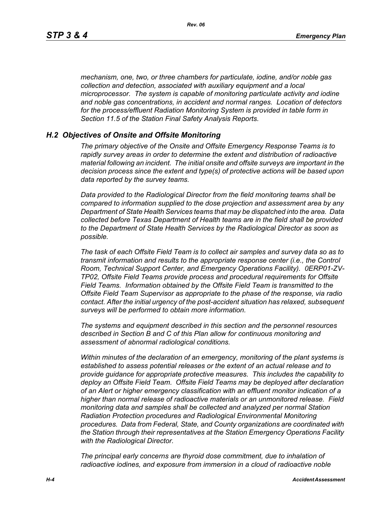*mechanism, one, two, or three chambers for particulate, iodine, and/or noble gas collection and detection, associated with auxiliary equipment and a local microprocessor. The system is capable of monitoring particulate activity and iodine and noble gas concentrations, in accident and normal ranges. Location of detectors for the process/effluent Radiation Monitoring System is provided in table form in Section 11.5 of the Station Final Safety Analysis Reports.* 

#### *H.2 Objectives of Onsite and Offsite Monitoring*

*The primary objective of the Onsite and Offsite Emergency Response Teams is to rapidly survey areas in order to determine the extent and distribution of radioactive material following an incident. The initial onsite and offsite surveys are important in the decision process since the extent and type(s) of protective actions will be based upon data reported by the survey teams.*

*Data provided to the Radiological Director from the field monitoring teams shall be compared to information supplied to the dose projection and assessment area by any Department of State Health Services teams that may be dispatched into the area. Data collected before Texas Department of Health teams are in the field shall be provided to the Department of State Health Services by the Radiological Director as soon as possible.*

*The task of each Offsite Field Team is to collect air samples and survey data so as to transmit information and results to the appropriate response center (i.e., the Control Room, Technical Support Center, and Emergency Operations Facility). 0ERP01-ZV-TP02, Offsite Field Teams provide process and procedural requirements for Offsite Field Teams. Information obtained by the Offsite Field Team is transmitted to the Offsite Field Team Supervisor as appropriate to the phase of the response, via radio contact. After the initial urgency of the post-accident situation has relaxed, subsequent surveys will be performed to obtain more information.*

*The systems and equipment described in this section and the personnel resources described in Section B and C of this Plan allow for continuous monitoring and assessment of abnormal radiological conditions.*

*Within minutes of the declaration of an emergency, monitoring of the plant systems is established to assess potential releases or the extent of an actual release and to provide guidance for appropriate protective measures. This includes the capability to deploy an Offsite Field Team. Offsite Field Teams may be deployed after declaration of an Alert or higher emergency classification with an effluent monitor indication of a higher than normal release of radioactive materials or an unmonitored release. Field monitoring data and samples shall be collected and analyzed per normal Station Radiation Protection procedures and Radiological Environmental Monitoring procedures. Data from Federal, State, and County organizations are coordinated with the Station through their representatives at the Station Emergency Operations Facility with the Radiological Director.*

*The principal early concerns are thyroid dose commitment, due to inhalation of radioactive iodines, and exposure from immersion in a cloud of radioactive noble*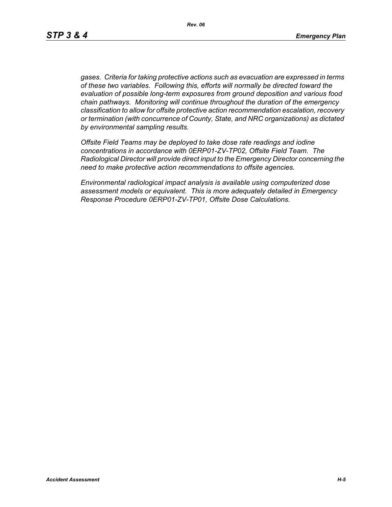*gases. Criteria for taking protective actions such as evacuation are expressed in terms of these two variables. Following this, efforts will normally be directed toward the evaluation of possible long-term exposures from ground deposition and various food chain pathways. Monitoring will continue throughout the duration of the emergency classification to allow for offsite protective action recommendation escalation, recovery or termination (with concurrence of County, State, and NRC organizations) as dictated by environmental sampling results.*

*Offsite Field Teams may be deployed to take dose rate readings and iodine concentrations in accordance with 0ERP01-ZV-TP02, Offsite Field Team. The Radiological Director will provide direct input to the Emergency Director concerning the need to make protective action recommendations to offsite agencies.* 

*Environmental radiological impact analysis is available using computerized dose assessment models or equivalent. This is more adequately detailed in Emergency Response Procedure 0ERP01-ZV-TP01, Offsite Dose Calculations.*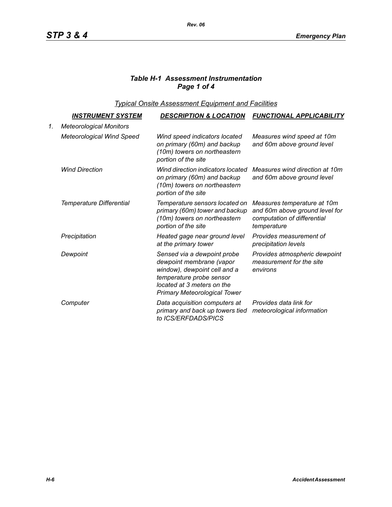# *Table H-1 Assessment Instrumentation Page 1 of 4*

*Typical Onsite Assessment Equipment and Facilities*

|    | <u>INSTRUMENT SYSTEM</u>         | <b>DESCRIPTION &amp; LOCATION</b>                                                                                                                                                        | <b>FUNCTIONAL APPLICABILITY</b>                                                                             |
|----|----------------------------------|------------------------------------------------------------------------------------------------------------------------------------------------------------------------------------------|-------------------------------------------------------------------------------------------------------------|
| 1. | <b>Meteorological Monitors</b>   |                                                                                                                                                                                          |                                                                                                             |
|    | <b>Meteorological Wind Speed</b> | Wind speed indicators located<br>on primary (60m) and backup<br>(10m) towers on northeastern<br>portion of the site                                                                      | Measures wind speed at 10m<br>and 60m above ground level                                                    |
|    | <b>Wind Direction</b>            | Wind direction indicators located<br>on primary (60m) and backup<br>(10m) towers on northeastern<br>portion of the site                                                                  | Measures wind direction at 10m<br>and 60m above ground level                                                |
|    | Temperature Differential         | Temperature sensors located on<br>primary (60m) tower and backup<br>(10m) towers on northeastern<br>portion of the site                                                                  | Measures temperature at 10m<br>and 60m above ground level for<br>computation of differential<br>temperature |
|    | Precipitation                    | Heated gage near ground level<br>at the primary tower                                                                                                                                    | Provides measurement of<br>precipitation levels                                                             |
|    | Dewpoint                         | Sensed via a dewpoint probe<br>dewpoint membrane (vapor<br>window), dewpoint cell and a<br>temperature probe sensor<br>located at 3 meters on the<br><b>Primary Meteorological Tower</b> | Provides atmospheric dewpoint<br>measurement for the site<br>environs                                       |
|    | Computer                         | Data acquisition computers at<br>primary and back up towers tied<br>to ICS/ERFDADS/PICS                                                                                                  | Provides data link for<br>meteorological information                                                        |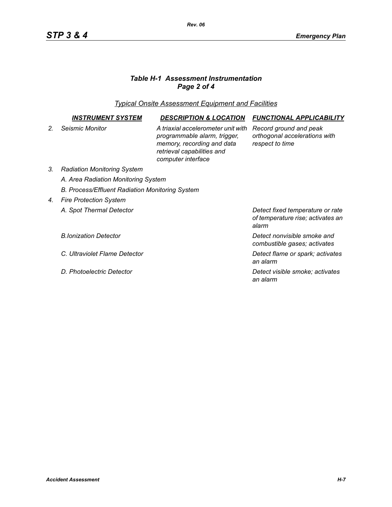# *Table H-1 Assessment Instrumentation Page 2 of 4*

*Typical Onsite Assessment Equipment and Facilities*

|                | <i><b>INSTRUMENT SYSTEM</b></i>                 | <b>DESCRIPTION &amp; LOCATION</b>                                                                                                                    | <b>FUNCTIONAL APPLICABILITY</b>                                                |  |  |
|----------------|-------------------------------------------------|------------------------------------------------------------------------------------------------------------------------------------------------------|--------------------------------------------------------------------------------|--|--|
| 2 <sub>1</sub> | Seismic Monitor                                 | A triaxial accelerometer unit with<br>programmable alarm, trigger,<br>memory, recording and data<br>retrieval capabilities and<br>computer interface | Record ground and peak<br>orthogonal accelerations with<br>respect to time     |  |  |
| 3.             | <b>Radiation Monitoring System</b>              |                                                                                                                                                      |                                                                                |  |  |
|                | A. Area Radiation Monitoring System             |                                                                                                                                                      |                                                                                |  |  |
|                | B. Process/Effluent Radiation Monitoring System |                                                                                                                                                      |                                                                                |  |  |
| 4.             | <b>Fire Protection System</b>                   |                                                                                                                                                      |                                                                                |  |  |
|                | A. Spot Thermal Detector                        |                                                                                                                                                      | Detect fixed temperature or rate<br>of temperature rise; activates an<br>alarm |  |  |
|                | <b>B.Ionization Detector</b>                    |                                                                                                                                                      | Detect nonvisible smoke and<br>combustible gases; activates                    |  |  |
|                | C. Ultraviolet Flame Detector                   |                                                                                                                                                      | Detect flame or spark; activates<br>an alarm                                   |  |  |
|                | D. Photoelectric Detector                       |                                                                                                                                                      | Detect visible smoke; activates<br>an alarm                                    |  |  |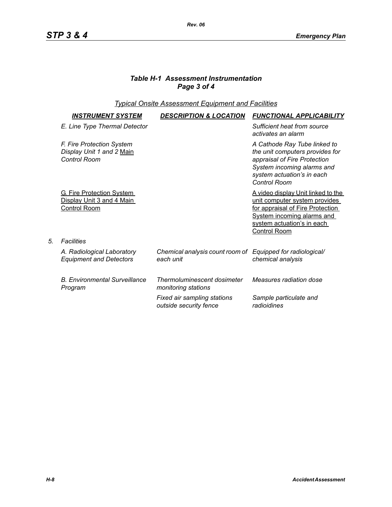# *Table H-1 Assessment Instrumentation Page 3 of 4*

## *Typical Onsite Assessment Equipment and Facilities*

| <i><b>INSTRUMENT SYSTEM</b></i>                                                      | <b>DESCRIPTION &amp; LOCATION</b>                                       | <b>FUNCTIONAL APPLICABILITY</b>                                                                                                                                                                           |
|--------------------------------------------------------------------------------------|-------------------------------------------------------------------------|-----------------------------------------------------------------------------------------------------------------------------------------------------------------------------------------------------------|
| E. Line Type Thermal Detector                                                        |                                                                         | Sufficient heat from source<br>activates an alarm                                                                                                                                                         |
| F. Fire Protection System<br>Display Unit 1 and 2 Main<br>Control Room               |                                                                         | A Cathode Ray Tube linked to<br>the unit computers provides for<br>appraisal of Fire Protection<br>System incoming alarms and<br>system actuation's in each<br>Control Room                               |
| <b>G. Fire Protection System</b><br>Display Unit 3 and 4 Main<br><b>Control Room</b> |                                                                         | <u>A video display Unit linked to the </u><br>unit computer system provides<br>for appraisal of Fire Protection<br><b>System incoming alarms and</b><br>system actuation's in each<br><b>Control Room</b> |
| Facilities                                                                           |                                                                         |                                                                                                                                                                                                           |
| A. Radiological Laboratory<br><b>Equipment and Detectors</b>                         | Chemical analysis count room of Equipped for radiological/<br>each unit | chemical analysis                                                                                                                                                                                         |
| <b>B. Environmental Surveillance</b><br>Program                                      | Thermoluminescent dosimeter<br>monitoring stations                      | Measures radiation dose                                                                                                                                                                                   |
|                                                                                      | Fixed air sampling stations<br>outside security fence                   | Sample particulate and<br>radioidines                                                                                                                                                                     |

*5. Facilities*